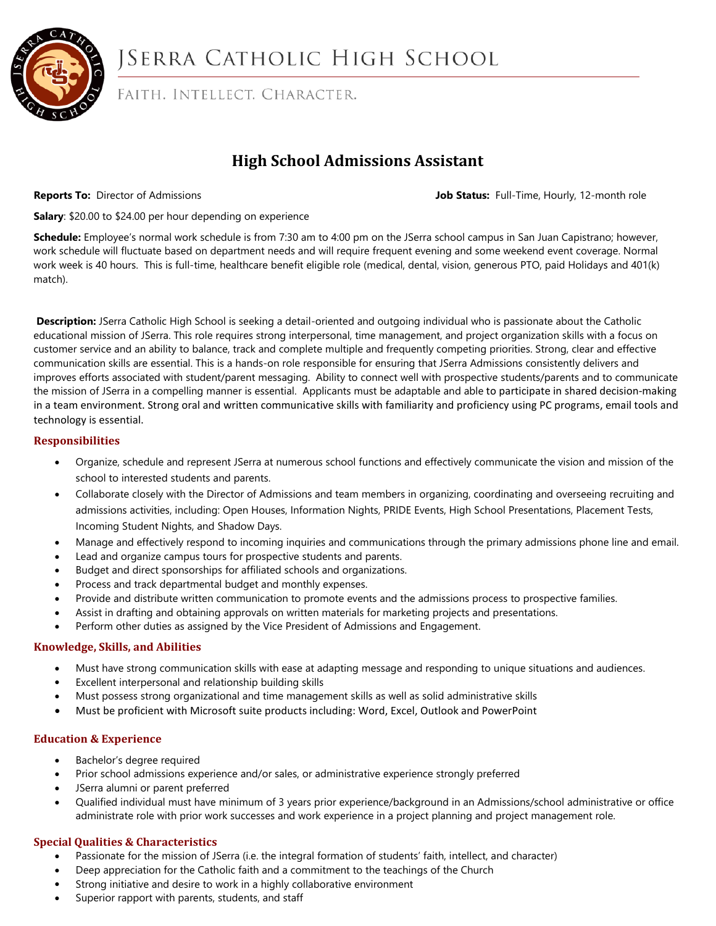

# JSERRA CATHOLIC HIGH SCHOOL

FAITH. INTELLECT. CHARACTER.

# **High School Admissions Assistant**

**Reports To:** Director of Admissions **Job Status:** Full-Time, Hourly, 12-month role

**Salary**: \$20.00 to \$24.00 per hour depending on experience

**Schedule:** Employee's normal work schedule is from 7:30 am to 4:00 pm on the JSerra school campus in San Juan Capistrano; however, work schedule will fluctuate based on department needs and will require frequent evening and some weekend event coverage. Normal work week is 40 hours. This is full-time, healthcare benefit eligible role (medical, dental, vision, generous PTO, paid Holidays and 401(k) match).

**Description:** JSerra Catholic High School is seeking a detail-oriented and outgoing individual who is passionate about the Catholic educational mission of JSerra. This role requires strong interpersonal, time management, and project organization skills with a focus on customer service and an ability to balance, track and complete multiple and frequently competing priorities. Strong, clear and effective communication skills are essential. This is a hands-on role responsible for ensuring that JSerra Admissions consistently delivers and improves efforts associated with student/parent messaging. Ability to connect well with prospective students/parents and to communicate the mission of JSerra in a compelling manner is essential. Applicants must be adaptable and able to participate in shared decision-making in a team environment. Strong oral and written communicative skills with familiarity and proficiency using PC programs, email tools and technology is essential.

#### **Responsibilities**

- Organize, schedule and represent JSerra at numerous school functions and effectively communicate the vision and mission of the school to interested students and parents.
- Collaborate closely with the Director of Admissions and team members in organizing, coordinating and overseeing recruiting and admissions activities, including: Open Houses, Information Nights, PRIDE Events, High School Presentations, Placement Tests, Incoming Student Nights, and Shadow Days.
- Manage and effectively respond to incoming inquiries and communications through the primary admissions phone line and email.
- Lead and organize campus tours for prospective students and parents.
- Budget and direct sponsorships for affiliated schools and organizations.
- Process and track departmental budget and monthly expenses.
- Provide and distribute written communication to promote events and the admissions process to prospective families.
- Assist in drafting and obtaining approvals on written materials for marketing projects and presentations.
- Perform other duties as assigned by the Vice President of Admissions and Engagement.

### **Knowledge, Skills, and Abilities**

- Must have strong communication skills with ease at adapting message and responding to unique situations and audiences.
- Excellent interpersonal and relationship building skills
- Must possess strong organizational and time management skills as well as solid administrative skills
- Must be proficient with Microsoft suite products including: Word, Excel, Outlook and PowerPoint

### **Education & Experience**

- Bachelor's degree required
- Prior school admissions experience and/or sales, or administrative experience strongly preferred
- JSerra alumni or parent preferred
- Qualified individual must have minimum of 3 years prior experience/background in an Admissions/school administrative or office administrate role with prior work successes and work experience in a project planning and project management role.

### **Special Qualities & Characteristics**

- Passionate for the mission of JSerra (i.e. the integral formation of students' faith, intellect, and character)
- Deep appreciation for the Catholic faith and a commitment to the teachings of the Church
- Strong initiative and desire to work in a highly collaborative environment
- Superior rapport with parents, students, and staff